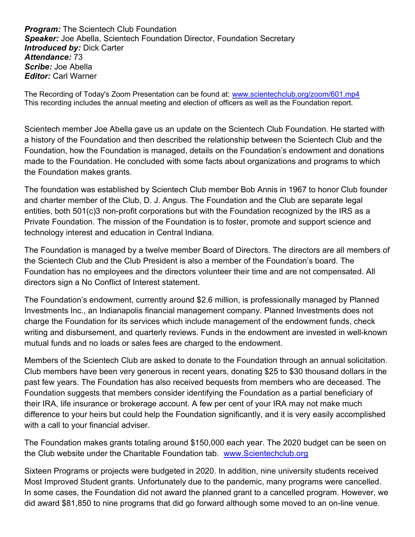**Program:** The Scientech Club Foundation Speaker: Joe Abella, Scientech Foundation Director, Foundation Secretary **Introduced by: Dick Carter** Attendance: 73 Scribe: Joe Abella **Editor: Carl Warner** 

The Recording of Today's Zoom Presentation can be found at: www.scientechclub.org/zoom/601.mp4 This recording includes the annual meeting and election of officers as well as the Foundation report.

Scientech member Joe Abella gave us an update on the Scientech Club Foundation. He started with a history of the Foundation and then described the relationship between the Scientech Club and the Foundation, how the Foundation is managed, details on the Foundation's endowment and donations made to the Foundation. He concluded with some facts about organizations and programs to which the Foundation makes grants.

The foundation was established by Scientech Club member Bob Annis in 1967 to honor Club founder and charter member of the Club, D. J. Angus. The Foundation and the Club are separate legal entities, both 501(c)3 non-profit corporations but with the Foundation recognized by the IRS as a Private Foundation. The mission of the Foundation is to foster, promote and support science and technology interest and education in Central Indiana.

The Foundation is managed by a twelve member Board of Directors. The directors are all members of the Scientech Club and the Club President is also a member of the Foundation's board. The Foundation has no employees and the directors volunteer their time and are not compensated. All directors sign a No Conflict of Interest statement.

The Foundation's endowment, currently around \$2.6 million, is professionally managed by Planned Investments Inc., an Indianapolis financial management company. Planned Investments does not charge the Foundation for its services which include management of the endowment funds, check writing and disbursement, and quarterly reviews. Funds in the endowment are invested in well-known mutual funds and no loads or sales fees are charged to the endowment.

Members of the Scientech Club are asked to donate to the Foundation through an annual solicitation. Club members have been very generous in recent years, donating \$25 to \$30 thousand dollars in the past few years. The Foundation has also received bequests from members who are deceased. The Foundation suggests that members consider identifying the Foundation as a partial beneficiary of their IRA, life insurance or brokerage account. A few per cent of your IRA may not make much difference to your heirs but could help the Foundation significantly, and it is very easily accomplished with a call to your financial adviser.

The Foundation makes grants totaling around \$150,000 each year. The 2020 budget can be seen on the Club website under the Charitable Foundation tab. www.Scientechclub.org

Sixteen Programs or projects were budgeted in 2020. In addition, nine university students received Most Improved Student grants. Unfortunately due to the pandemic, many programs were cancelled. In some cases, the Foundation did not award the planned grant to a cancelled program. However, we did award \$81,850 to nine programs that did go forward although some moved to an on-line venue.